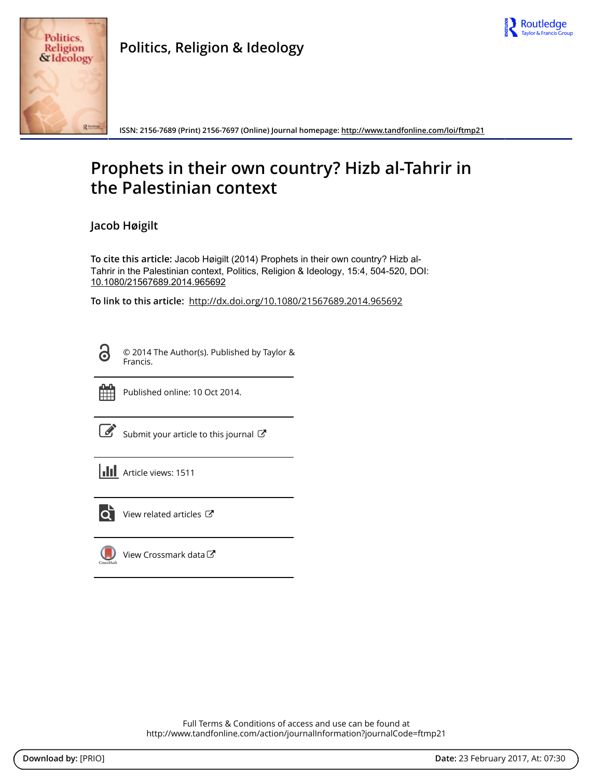



**ISSN: 2156-7689 (Print) 2156-7697 (Online) Journal homepage:<http://www.tandfonline.com/loi/ftmp21>**

# **Prophets in their own country? Hizb al-Tahrir in the Palestinian context**

**Jacob Høigilt**

**To cite this article:** Jacob Høigilt (2014) Prophets in their own country? Hizb al-Tahrir in the Palestinian context, Politics, Religion & Ideology, 15:4, 504-520, DOI: [10.1080/21567689.2014.965692](http://www.tandfonline.com/action/showCitFormats?doi=10.1080/21567689.2014.965692)

**To link to this article:** <http://dx.doi.org/10.1080/21567689.2014.965692>

<u>ය</u>

© 2014 The Author(s). Published by Taylor & Francis.



Published online: 10 Oct 2014.

[Submit your article to this journal](http://www.tandfonline.com/action/authorSubmission?journalCode=ftmp21&show=instructions)  $\mathbb{Z}$ 





[View related articles](http://www.tandfonline.com/doi/mlt/10.1080/21567689.2014.965692)  $\mathbb{Z}$ 

[View Crossmark data](http://crossmark.crossref.org/dialog/?doi=10.1080/21567689.2014.965692&domain=pdf&date_stamp=2014-10-10) C

Full Terms & Conditions of access and use can be found at <http://www.tandfonline.com/action/journalInformation?journalCode=ftmp21>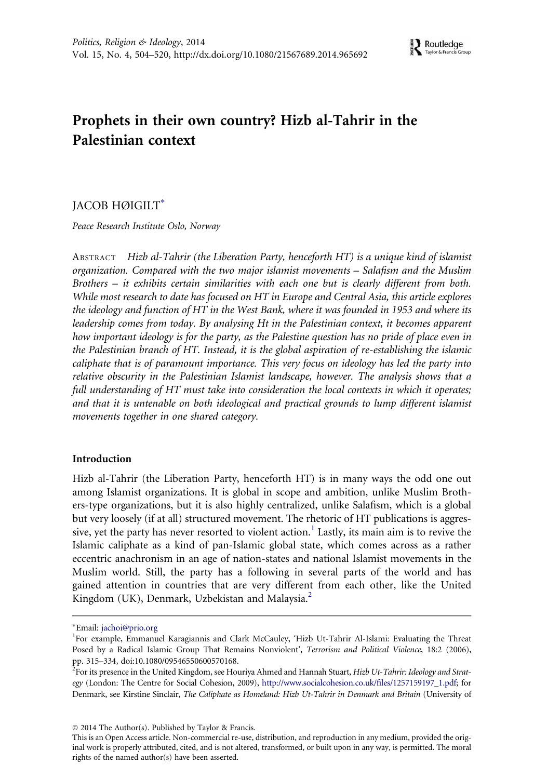## Prophets in their own country? Hizb al-Tahrir in the Palestinian context

### JACOB HØIGILT<sup>∗</sup>

Peace Research Institute Oslo, Norway

ABSTRACT Hizb al-Tahrir (the Liberation Party, henceforth HT) is a unique kind of islamist organization. Compared with the two major islamist movements – Salafism and the Muslim Brothers – it exhibits certain similarities with each one but is clearly different from both. While most research to date has focused on HT in Europe and Central Asia, this article explores the ideology and function of HT in the West Bank, where it was founded in 1953 and where its leadership comes from today. By analysing Ht in the Palestinian context, it becomes apparent how important ideology is for the party, as the Palestine question has no pride of place even in the Palestinian branch of HT. Instead, it is the global aspiration of re-establishing the islamic caliphate that is of paramount importance. This very focus on ideology has led the party into relative obscurity in the Palestinian Islamist landscape, however. The analysis shows that a full understanding of HT must take into consideration the local contexts in which it operates; and that it is untenable on both ideological and practical grounds to lump different islamist movements together in one shared category.

#### Introduction

Hizb al-Tahrir (the Liberation Party, henceforth HT) is in many ways the odd one out among Islamist organizations. It is global in scope and ambition, unlike Muslim Brothers-type organizations, but it is also highly centralized, unlike Salafism, which is a global but very loosely (if at all) structured movement. The rhetoric of HT publications is aggressive, yet the party has never resorted to violent action.<sup>1</sup> Lastly, its main aim is to revive the Islamic caliphate as a kind of pan-Islamic global state, which comes across as a rather eccentric anachronism in an age of nation-states and national Islamist movements in the Muslim world. Still, the party has a following in several parts of the world and has gained attention in countries that are very different from each other, like the United Kingdom (UK), Denmark, Uzbekistan and Malaysia.<sup>2</sup>

<sup>∗</sup>Email: [jachoi@prio.org](mailto:jachoi@prio.org) <sup>1</sup>

For example, Emmanuel Karagiannis and Clark McCauley, 'Hizb Ut-Tahrir Al-Islami: Evaluating the Threat Posed by a Radical Islamic Group That Remains Nonviolent', Terrorism and Political Violence, 18:2 (2006), pp. 315–334, doi:10.1080/09546550600570168. <sup>2</sup>

 $F^2$ For its presence in the United Kingdom, see Houriya Ahmed and Hannah Stuart, Hizb Ut-Tahrir: Ideology and Strategy (London: The Centre for Social Cohesion, 2009), [http://www.socialcohesion.co.uk/](http://www.socialcohesion.co.uk/files/1257159197_1.pdf)files/1257159197\_1.pdf; for Denmark, see Kirstine Sinclair, The Caliphate as Homeland: Hizb Ut-Tahrir in Denmark and Britain (University of

<sup>© 2014</sup> The Author(s). Published by Taylor & Francis.

This is an Open Access article. Non-commercial re-use, distribution, and reproduction in any medium, provided the original work is properly attributed, cited, and is not altered, transformed, or built upon in any way, is permitted. The moral rights of the named author(s) have been asserted.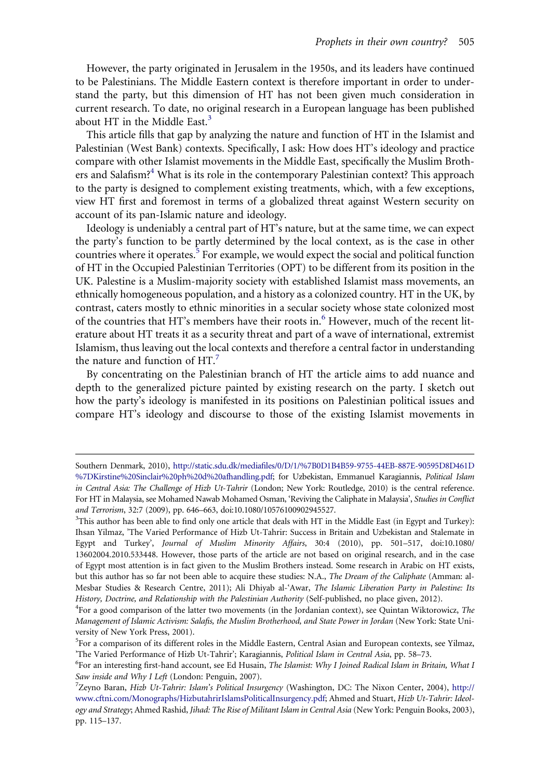However, the party originated in Jerusalem in the 1950s, and its leaders have continued to be Palestinians. The Middle Eastern context is therefore important in order to understand the party, but this dimension of HT has not been given much consideration in current research. To date, no original research in a European language has been published about HT in the Middle East. $3$ 

This article fills that gap by analyzing the nature and function of HT in the Islamist and Palestinian (West Bank) contexts. Specifically, I ask: How does HT's ideology and practice compare with other Islamist movements in the Middle East, specifically the Muslim Brothers and Salafism?<sup>4</sup> What is its role in the contemporary Palestinian context? This approach to the party is designed to complement existing treatments, which, with a few exceptions, view HT first and foremost in terms of a globalized threat against Western security on account of its pan-Islamic nature and ideology.

Ideology is undeniably a central part of HT's nature, but at the same time, we can expect the party's function to be partly determined by the local context, as is the case in other countries where it operates.<sup>5</sup> For example, we would expect the social and political function of HT in the Occupied Palestinian Territories (OPT) to be different from its position in the UK. Palestine is a Muslim-majority society with established Islamist mass movements, an ethnically homogeneous population, and a history as a colonized country. HT in the UK, by contrast, caters mostly to ethnic minorities in a secular society whose state colonized most of the countries that HT's members have their roots in.<sup>6</sup> However, much of the recent literature about HT treats it as a security threat and part of a wave of international, extremist Islamism, thus leaving out the local contexts and therefore a central factor in understanding the nature and function of HT.<sup>7</sup>

By concentrating on the Palestinian branch of HT the article aims to add nuance and depth to the generalized picture painted by existing research on the party. I sketch out how the party's ideology is manifested in its positions on Palestinian political issues and compare HT's ideology and discourse to those of the existing Islamist movements in

Southern Denmark, 2010), http://static.sdu.dk/mediafi[les/0/D/1/%7B0D1B4B59-9755-44EB-887E-90595D8D461D](http://static.sdu.dk/mediafiles/0/D/1/%7B0D1B4B59-9755-44EB-887E-90595D8D461D%7DKirstine%20Sinclair%20ph%20d%20afhandling.pdf) [%7DKirstine%20Sinclair%20ph%20d%20afhandling.pdf;](http://static.sdu.dk/mediafiles/0/D/1/%7B0D1B4B59-9755-44EB-887E-90595D8D461D%7DKirstine%20Sinclair%20ph%20d%20afhandling.pdf) for Uzbekistan, Emmanuel Karagiannis, Political Islam in Central Asia: The Challenge of Hizb Ut-Tahrir (London; New York: Routledge, 2010) is the central reference. For HT in Malaysia, see Mohamed Nawab Mohamed Osman, 'Reviving the Caliphate in Malaysia', Studies in Conflict and Terrorism, 32:7 (2009), pp. 646–663, doi:10.1080/10576100902945527. <sup>3</sup>

 $3$ This author has been able to find only one article that deals with HT in the Middle East (in Egypt and Turkey): Ihsan Yilmaz, 'The Varied Performance of Hizb Ut-Tahrir: Success in Britain and Uzbekistan and Stalemate in Egypt and Turkey', Journal of Muslim Minority Affairs, 30:4 (2010), pp. 501–517, doi:10.1080/ 13602004.2010.533448. However, those parts of the article are not based on original research, and in the case of Egypt most attention is in fact given to the Muslim Brothers instead. Some research in Arabic on HT exists, but this author has so far not been able to acquire these studies: N.A., The Dream of the Caliphate (Amman: al-Mesbar Studies & Research Centre, 2011); Ali Dhiyab al-'Awar, The Islamic Liberation Party in Palestine: Its History, Doctrine, and Relationship with the Palestinian Authority (Self-published, no place given, 2012).

<sup>&</sup>lt;sup>4</sup>For a good comparison of the latter two movements (in the Jordanian context), see Quintan Wiktorowicz, The Management of Islamic Activism: Salafis, the Muslim Brotherhood, and State Power in Jordan (New York: State University of New York Press, 2001).

<sup>&</sup>lt;sup>5</sup>For a comparison of its different roles in the Middle Eastern, Central Asian and European contexts, see Yilmaz, 'The Varied Performance of Hizb Ut-Tahrir'; Karagiannis, Political Islam in Central Asia, pp. 58-73.

<sup>&</sup>lt;sup>6</sup>For an interesting first-hand account, see Ed Husain, The Islamist: Why I Joined Radical Islam in Britain, What I Saw inside and Why I Left (London: Penguin, 2007).

Zeyno Baran, Hizb Ut-Tahrir: Islam's Political Insurgency (Washington, DC: The Nixon Center, 2004), [http://](http://www.cftni.com/Monographs/HizbutahrirIslamsPoliticalInsurgency.pdf) [www.cftni.com/Monographs/HizbutahrirIslamsPoliticalInsurgency.pdf](http://www.cftni.com/Monographs/HizbutahrirIslamsPoliticalInsurgency.pdf); Ahmed and Stuart, Hizb Ut-Tahrir: Ideology and Strategy; Ahmed Rashid, Jihad: The Rise of Militant Islam in Central Asia (New York: Penguin Books, 2003), pp. 115–137.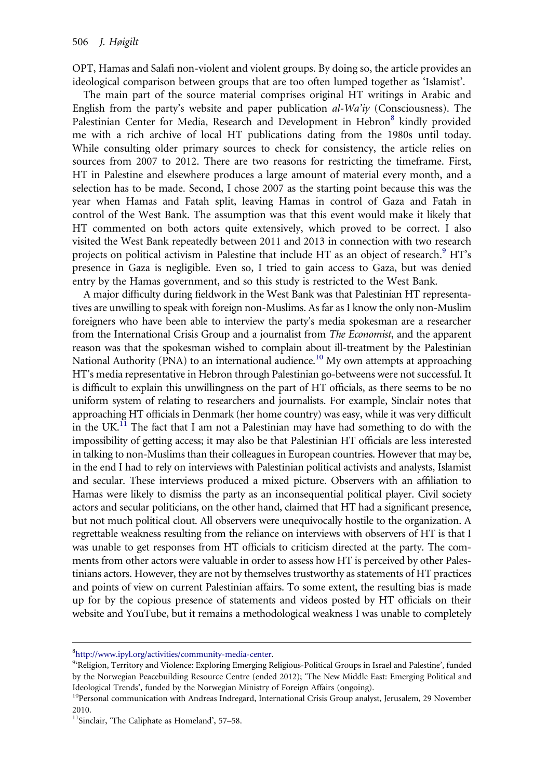OPT, Hamas and Salafi non-violent and violent groups. By doing so, the article provides an ideological comparison between groups that are too often lumped together as 'Islamist'.

The main part of the source material comprises original HT writings in Arabic and English from the party's website and paper publication al-Wa'iy (Consciousness). The Palestinian Center for Media, Research and Development in Hebron<sup>8</sup> kindly provided me with a rich archive of local HT publications dating from the 1980s until today. While consulting older primary sources to check for consistency, the article relies on sources from 2007 to 2012. There are two reasons for restricting the timeframe. First, HT in Palestine and elsewhere produces a large amount of material every month, and a selection has to be made. Second, I chose 2007 as the starting point because this was the year when Hamas and Fatah split, leaving Hamas in control of Gaza and Fatah in control of the West Bank. The assumption was that this event would make it likely that HT commented on both actors quite extensively, which proved to be correct. I also visited the West Bank repeatedly between 2011 and 2013 in connection with two research projects on political activism in Palestine that include HT as an object of research.<sup>9</sup> HT's presence in Gaza is negligible. Even so, I tried to gain access to Gaza, but was denied entry by the Hamas government, and so this study is restricted to the West Bank.

A major difficulty during fieldwork in the West Bank was that Palestinian HT representatives are unwilling to speak with foreign non-Muslims. As far as I know the only non-Muslim foreigners who have been able to interview the party's media spokesman are a researcher from the International Crisis Group and a journalist from *The Economist*, and the apparent reason was that the spokesman wished to complain about ill-treatment by the Palestinian National Authority (PNA) to an international audience.<sup>10</sup> My own attempts at approaching HT's media representative in Hebron through Palestinian go-betweens were not successful. It is difficult to explain this unwillingness on the part of HT officials, as there seems to be no uniform system of relating to researchers and journalists. For example, Sinclair notes that approaching HT officials in Denmark (her home country) was easy, while it was very difficult in the UK.<sup>11</sup> The fact that I am not a Palestinian may have had something to do with the impossibility of getting access; it may also be that Palestinian HT officials are less interested in talking to non-Muslims than their colleagues in European countries. However that may be, in the end I had to rely on interviews with Palestinian political activists and analysts, Islamist and secular. These interviews produced a mixed picture. Observers with an affiliation to Hamas were likely to dismiss the party as an inconsequential political player. Civil society actors and secular politicians, on the other hand, claimed that HT had a significant presence, but not much political clout. All observers were unequivocally hostile to the organization. A regrettable weakness resulting from the reliance on interviews with observers of HT is that I was unable to get responses from HT officials to criticism directed at the party. The comments from other actors were valuable in order to assess how HT is perceived by other Palestinians actors. However, they are not by themselves trustworthy as statements of HT practices and points of view on current Palestinian affairs. To some extent, the resulting bias is made up for by the copious presence of statements and videos posted by HT officials on their website and YouTube, but it remains a methodological weakness I was unable to completely

<sup>&</sup>lt;sup>8</sup>[http://www.ipyl.org/activities/community-media-center.](http://www.ipyl.org/activities/community-media-center)<br><sup>9</sup>'Peligion, Territory and Violence: Exploring Emerging P

<sup>&</sup>lt;sup>9</sup>'Religion, Territory and Violence: Exploring Emerging Religious-Political Groups in Israel and Palestine', funded by the Norwegian Peacebuilding Resource Centre (ended 2012); 'The New Middle East: Emerging Political and Ideological Trends', funded by the Norwegian Ministry of Foreign Affairs (ongoing).<br><sup>10</sup>Personal communication with Andreas Indregard, International Crisis Group analyst, Jerusalem, 29 November

<sup>2010.</sup>

<sup>&</sup>lt;sup>11</sup>Sinclair, 'The Caliphate as Homeland', 57-58.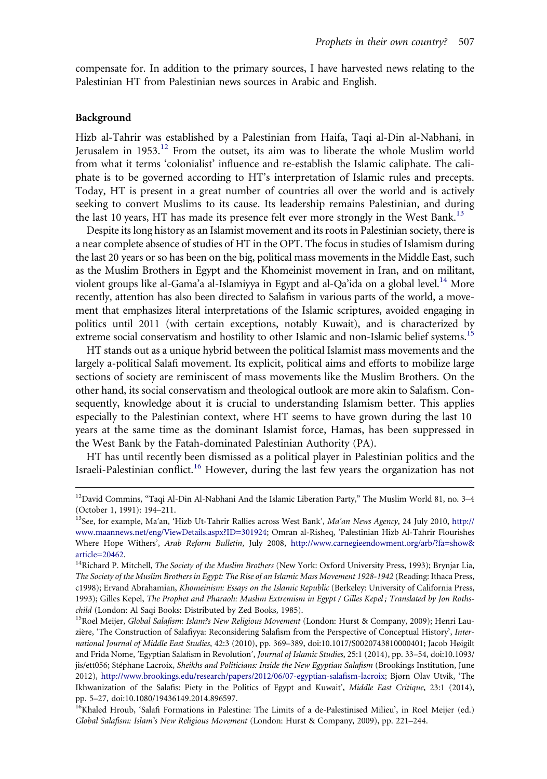compensate for. In addition to the primary sources, I have harvested news relating to the Palestinian HT from Palestinian news sources in Arabic and English.

#### Background

Hizb al-Tahrir was established by a Palestinian from Haifa, Taqi al-Din al-Nabhani, in Jerusalem in  $1953$ <sup>12</sup> From the outset, its aim was to liberate the whole Muslim world from what it terms 'colonialist' influence and re-establish the Islamic caliphate. The caliphate is to be governed according to HT's interpretation of Islamic rules and precepts. Today, HT is present in a great number of countries all over the world and is actively seeking to convert Muslims to its cause. Its leadership remains Palestinian, and during the last 10 years, HT has made its presence felt ever more strongly in the West Bank.<sup>13</sup>

Despite its long history as an Islamist movement and its roots in Palestinian society, there is a near complete absence of studies of HT in the OPT. The focus in studies of Islamism during the last 20 years or so has been on the big, political mass movements in the Middle East, such as the Muslim Brothers in Egypt and the Khomeinist movement in Iran, and on militant, violent groups like al-Gama'a al-Islamiyya in Egypt and al-Qa'ida on a global level.<sup>14</sup> More recently, attention has also been directed to Salafism in various parts of the world, a movement that emphasizes literal interpretations of the Islamic scriptures, avoided engaging in politics until 2011 (with certain exceptions, notably Kuwait), and is characterized by extreme social conservatism and hostility to other Islamic and non-Islamic belief systems.<sup>15</sup>

HT stands out as a unique hybrid between the political Islamist mass movements and the largely a-political Salafi movement. Its explicit, political aims and efforts to mobilize large sections of society are reminiscent of mass movements like the Muslim Brothers. On the other hand, its social conservatism and theological outlook are more akin to Salafism. Consequently, knowledge about it is crucial to understanding Islamism better. This applies especially to the Palestinian context, where HT seems to have grown during the last 10 years at the same time as the dominant Islamist force, Hamas, has been suppressed in the West Bank by the Fatah-dominated Palestinian Authority (PA).

HT has until recently been dismissed as a political player in Palestinian politics and the Israeli-Palestinian conflict.<sup>16</sup> However, during the last few years the organization has not

Global Salafism: Islam's New Religious Movement (London: Hurst & Company, 2009), pp. 221–244.

 $12$ David Commins, "Taqi Al-Din Al-Nabhani And the Islamic Liberation Party," The Muslim World 81, no. 3–4 (October 1, 1991): 194–211.<br><sup>13</sup>See, for example, Ma'an, 'Hizb Ut-Tahrir Rallies across West Bank', *Ma'an News Agency*, 24 July 2010, [http://](http://www.maannews.net/eng/ViewDetails.aspx?ID=301924)

[www.maannews.net/eng/ViewDetails.aspx?ID=301924;](http://www.maannews.net/eng/ViewDetails.aspx?ID=301924) Omran al-Risheq, 'Palestinian Hizb Al-Tahrir Flourishes Where Hope Withers', Arab Reform Bulletin, July 2008, [http://www.carnegieendowment.org/arb/?fa=show&](http://www.carnegieendowment.org/arb/?fa=show&article=20462) [article=20462](http://www.carnegieendowment.org/arb/?fa=show&article=20462).<br><sup>14</sup>Richard P. Mitchell, *The Society of the Muslim Brothers* (New York: Oxford University Press, 1993); Brynjar Lia,

The Society of the Muslim Brothers in Egypt: The Rise of an Islamic Mass Movement 1928-1942 (Reading: Ithaca Press, c1998); Ervand Abrahamian, Khomeinism: Essays on the Islamic Republic (Berkeley: University of California Press, 1993); Gilles Kepel, The Prophet and Pharaoh: Muslim Extremism in Egypt / Gilles Kepel ; Translated by Jon Rothschild (London: Al Saqi Books: Distributed by Zed Books, 1985).<br><sup>15</sup>Roel Meijer, *Global Salafism: Islam?s New Religious Movement* (London: Hurst & Company, 2009); Henri Lau-

zière, 'The Construction of Salafiyya: Reconsidering Salafism from the Perspective of Conceptual History', International Journal of Middle East Studies, 42:3 (2010), pp. 369–389, doi:10.1017/S0020743810000401; Jacob Høigilt and Frida Nome, 'Egyptian Salafism in Revolution', Journal of Islamic Studies, 25:1 (2014), pp. 33–54, doi:10.1093/ jis/ett056; Stéphane Lacroix, Sheikhs and Politicians: Inside the New Egyptian Salafism (Brookings Institution, June 2012), [http://www.brookings.edu/research/papers/2012/06/07-egyptian-sala](http://www.brookings.edu/research/papers/2012/06/07-egyptian-salafism-lacroix)fism-lacroix; Bjørn Olav Utvik, 'The Ikhwanization of the Salafis: Piety in the Politics of Egypt and Kuwait', Middle East Critique, 23:1 (2014), pp. 5–27, doi:10.1080/19436149.2014.896597.<br><sup>16</sup>Khaled Hroub, 'Salafi Formations in Palestine: The Limits of a de-Palestinised Milieu', in Roel Meijer (ed.)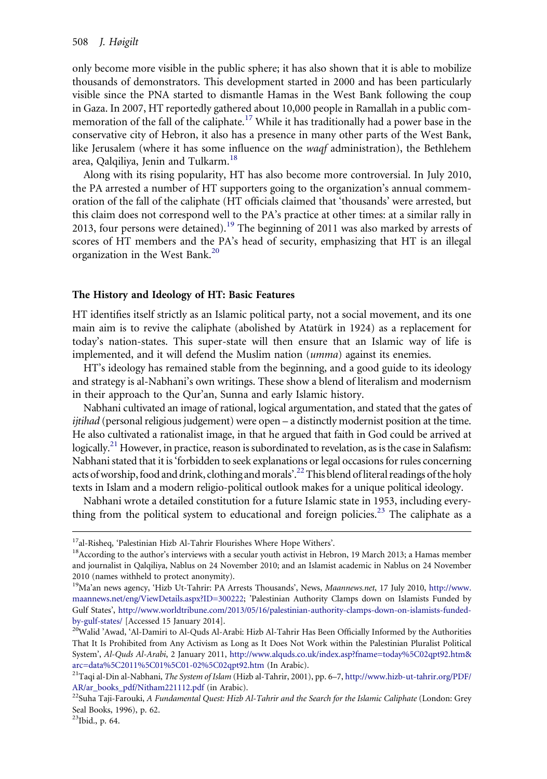only become more visible in the public sphere; it has also shown that it is able to mobilize thousands of demonstrators. This development started in 2000 and has been particularly visible since the PNA started to dismantle Hamas in the West Bank following the coup in Gaza. In 2007, HT reportedly gathered about 10,000 people in Ramallah in a public commemoration of the fall of the caliphate.<sup>17</sup> While it has traditionally had a power base in the conservative city of Hebron, it also has a presence in many other parts of the West Bank, like Jerusalem (where it has some influence on the waqf administration), the Bethlehem area, Qalqiliya, Jenin and Tulkarm.<sup>18</sup>

Along with its rising popularity, HT has also become more controversial. In July 2010, the PA arrested a number of HT supporters going to the organization's annual commemoration of the fall of the caliphate (HT officials claimed that 'thousands' were arrested, but this claim does not correspond well to the PA's practice at other times: at a similar rally in 2013, four persons were detained).<sup>19</sup> The beginning of 2011 was also marked by arrests of scores of HT members and the PA's head of security, emphasizing that HT is an illegal organization in the West Bank.<sup>20</sup>

#### The History and Ideology of HT: Basic Features

HT identifies itself strictly as an Islamic political party, not a social movement, and its one main aim is to revive the caliphate (abolished by Atatürk in 1924) as a replacement for today's nation-states. This super-state will then ensure that an Islamic way of life is implemented, and it will defend the Muslim nation (umma) against its enemies.

HT's ideology has remained stable from the beginning, and a good guide to its ideology and strategy is al-Nabhani's own writings. These show a blend of literalism and modernism in their approach to the Qur'an, Sunna and early Islamic history.

Nabhani cultivated an image of rational, logical argumentation, and stated that the gates of ijtihad (personal religious judgement) were open – a distinctly modernist position at the time. He also cultivated a rationalist image, in that he argued that faith in God could be arrived at logically.<sup>21</sup> However, in practice, reason is subordinated to revelation, as is the case in Salafism: Nabhani stated that it is'forbidden to seek explanations or legal occasions for rules concerning acts of worship, food and drink, clothing and morals'.<sup>22</sup> This blend of literal readings of the holy texts in Islam and a modern religio-political outlook makes for a unique political ideology.

Nabhani wrote a detailed constitution for a future Islamic state in 1953, including everything from the political system to educational and foreign policies.<sup>23</sup> The caliphate as a

<sup>&</sup>lt;sup>17</sup>al-Risheq, 'Palestinian Hizb Al-Tahrir Flourishes Where Hope Withers'.<br><sup>18</sup>According to the author's interviews with a secular youth activist in Hebron, 19 March 2013; a Hamas member and journalist in Qalqiliya, Nablus on 24 November 2010; and an Islamist academic in Nablus on 24 November 2010 (names withheld to protect anonymity).

<sup>&</sup>lt;sup>19</sup>Ma'an news agency, 'Hizb Ut-Tahrir: PA Arrests Thousands', News, Maannews.net, 17 July 2010, [http://www.](http://www.maannews.net/eng/ViewDetails.aspx?ID=300222) [maannews.net/eng/ViewDetails.aspx?ID=300222;](http://www.maannews.net/eng/ViewDetails.aspx?ID=300222) 'Palestinian Authority Clamps down on Islamists Funded by Gulf States', [http://www.worldtribune.com/2013/05/16/palestinian-authority-clamps-down-on-islamists-funded](http://www.worldtribune.com/2013/05/16/palestinian-authority-clamps-down-on-islamists-funded-by-gulf-states/)[by-gulf-states/](http://www.worldtribune.com/2013/05/16/palestinian-authority-clamps-down-on-islamists-funded-by-gulf-states/) [Accessed 15 January 2014].<br><sup>20</sup>Walid 'Awad, 'Al-Damiri to Al-Quds Al-Arabi: Hizb Al-Tahrir Has Been Officially Informed by the Authorities

That It Is Prohibited from Any Activism as Long as It Does Not Work within the Palestinian Pluralist Political System', Al-Quds Al-Arabi, 2 January 2011, [http://www.alquds.co.uk/index.asp?fname=today%5C02qpt92.htm&](http://www.alquds.co.uk/index.asp?fname=today%5C02qpt92.htm&arc=data%5C2011%5C01%5C01-02%5C02qpt92.htm) [arc=data%5C2011%5C01%5C01-02%5C02qpt92.htm](http://www.alquds.co.uk/index.asp?fname=today%5C02qpt92.htm&arc=data%5C2011%5C01%5C01-02%5C02qpt92.htm) (In Arabic). 21Taqi al-Din al-Nabhani, The System of Islam (Hizb al-Tahrir, 2001), pp. 6–7, [http://www.hizb-ut-tahrir.org/PDF/](http://www.hizb-ut-tahrir.org/PDF/AR/ar_books_pdf/Nitham221112.pdf)

[AR/ar\\_books\\_pdf/Nitham221112.pdf](http://www.hizb-ut-tahrir.org/PDF/AR/ar_books_pdf/Nitham221112.pdf) (in Arabic).<br><sup>22</sup>Suha Taji-Farouki, *A Fundamental Quest: Hizb Al-Tahrir and the Search for the Islamic Caliphate* (London: Grey

Seal Books, 1996), p. 62.

<sup>23</sup>Ibid., p. 64.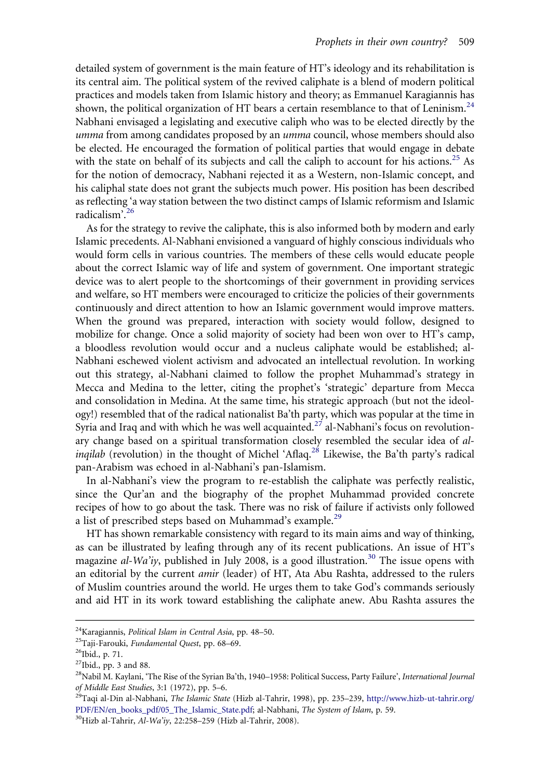detailed system of government is the main feature of HT's ideology and its rehabilitation is its central aim. The political system of the revived caliphate is a blend of modern political practices and models taken from Islamic history and theory; as Emmanuel Karagiannis has shown, the political organization of HT bears a certain resemblance to that of Leninism.<sup>24</sup> Nabhani envisaged a legislating and executive caliph who was to be elected directly by the umma from among candidates proposed by an umma council, whose members should also be elected. He encouraged the formation of political parties that would engage in debate with the state on behalf of its subjects and call the caliph to account for his actions.<sup>25</sup> As for the notion of democracy, Nabhani rejected it as a Western, non-Islamic concept, and his caliphal state does not grant the subjects much power. His position has been described as reflecting 'a way station between the two distinct camps of Islamic reformism and Islamic radicalism'. 26

As for the strategy to revive the caliphate, this is also informed both by modern and early Islamic precedents. Al-Nabhani envisioned a vanguard of highly conscious individuals who would form cells in various countries. The members of these cells would educate people about the correct Islamic way of life and system of government. One important strategic device was to alert people to the shortcomings of their government in providing services and welfare, so HT members were encouraged to criticize the policies of their governments continuously and direct attention to how an Islamic government would improve matters. When the ground was prepared, interaction with society would follow, designed to mobilize for change. Once a solid majority of society had been won over to HT's camp, a bloodless revolution would occur and a nucleus caliphate would be established; al-Nabhani eschewed violent activism and advocated an intellectual revolution. In working out this strategy, al-Nabhani claimed to follow the prophet Muhammad's strategy in Mecca and Medina to the letter, citing the prophet's 'strategic' departure from Mecca and consolidation in Medina. At the same time, his strategic approach (but not the ideology!) resembled that of the radical nationalist Ba'th party, which was popular at the time in Syria and Iraq and with which he was well acquainted.<sup>27</sup> al-Nabhani's focus on revolutionary change based on a spiritual transformation closely resembled the secular idea of alinqilab (revolution) in the thought of Michel 'Aflaq.<sup>28</sup> Likewise, the Ba'th party's radical pan-Arabism was echoed in al-Nabhani's pan-Islamism.

In al-Nabhani's view the program to re-establish the caliphate was perfectly realistic, since the Qur'an and the biography of the prophet Muhammad provided concrete recipes of how to go about the task. There was no risk of failure if activists only followed a list of prescribed steps based on Muhammad's example.<sup>29</sup>

HT has shown remarkable consistency with regard to its main aims and way of thinking, as can be illustrated by leafing through any of its recent publications. An issue of HT's magazine al-Wa'iy, published in July 2008, is a good illustration.<sup>30</sup> The issue opens with an editorial by the current amir (leader) of HT, Ata Abu Rashta, addressed to the rulers of Muslim countries around the world. He urges them to take God's commands seriously and aid HT in its work toward establishing the caliphate anew. Abu Rashta assures the

<sup>&</sup>lt;sup>24</sup>Karagiannis, *Political Islam in Central Asia*, pp. 48–50.<br><sup>25</sup>Taji-Farouki, *Fundamental Quest*, pp. 68–69.<br><sup>26</sup>Ibid., p. 71.

<sup>27</sup>Ibid., pp. 3 and 88.

<sup>&</sup>lt;sup>28</sup>Nabil M. Kaylani, 'The Rise of the Syrian Ba'th, 1940–1958: Political Success, Party Failure', International Journal

of Middle East Studies, 3:1 (1972), pp. 5–6.<br><sup>29</sup>Taqi al-Din al-Nabhani, *The Islamic State* (Hizb al-Tahrir, 1998), pp. 235–239, [http://www.hizb-ut-tahrir.org/](http://www.hizb-ut-tahrir.org/PDF/EN/en_books_pdf/05_The_Islamic_State.pdf) [PDF/EN/en\\_books\\_pdf/05\\_The\\_Islamic\\_State.pdf;](http://www.hizb-ut-tahrir.org/PDF/EN/en_books_pdf/05_The_Islamic_State.pdf) al-Nabhani, The System of Islam, p. 59. <sup>30</sup>Hizb al-Tahrir, Al-Wa'iy, 22:258–259 (Hizb al-Tahrir, 2008).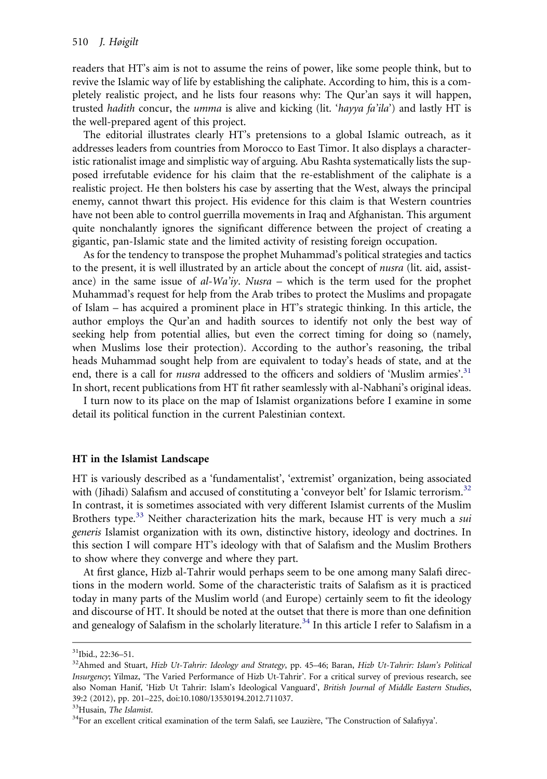readers that HT's aim is not to assume the reins of power, like some people think, but to revive the Islamic way of life by establishing the caliphate. According to him, this is a completely realistic project, and he lists four reasons why: The Qur'an says it will happen, trusted hadith concur, the umma is alive and kicking (lit. 'hayya fa'ila') and lastly HT is the well-prepared agent of this project.

The editorial illustrates clearly HT's pretensions to a global Islamic outreach, as it addresses leaders from countries from Morocco to East Timor. It also displays a characteristic rationalist image and simplistic way of arguing. Abu Rashta systematically lists the supposed irrefutable evidence for his claim that the re-establishment of the caliphate is a realistic project. He then bolsters his case by asserting that the West, always the principal enemy, cannot thwart this project. His evidence for this claim is that Western countries have not been able to control guerrilla movements in Iraq and Afghanistan. This argument quite nonchalantly ignores the significant difference between the project of creating a gigantic, pan-Islamic state and the limited activity of resisting foreign occupation.

As for the tendency to transpose the prophet Muhammad's political strategies and tactics to the present, it is well illustrated by an article about the concept of *nusra* (lit. aid, assistance) in the same issue of  $al-Wa'iy$ . Nusra – which is the term used for the prophet Muhammad's request for help from the Arab tribes to protect the Muslims and propagate of Islam – has acquired a prominent place in HT's strategic thinking. In this article, the author employs the Qur'an and hadith sources to identify not only the best way of seeking help from potential allies, but even the correct timing for doing so (namely, when Muslims lose their protection). According to the author's reasoning, the tribal heads Muhammad sought help from are equivalent to today's heads of state, and at the end, there is a call for *nusra* addressed to the officers and soldiers of 'Muslim armies'.<sup>31</sup> In short, recent publications from HT fit rather seamlessly with al-Nabhani's original ideas.

I turn now to its place on the map of Islamist organizations before I examine in some detail its political function in the current Palestinian context.

#### HT in the Islamist Landscape

HT is variously described as a 'fundamentalist', 'extremist' organization, being associated with (Jihadi) Salafism and accused of constituting a 'conveyor belt' for Islamic terrorism.<sup>32</sup> In contrast, it is sometimes associated with very different Islamist currents of the Muslim Brothers type.<sup>33</sup> Neither characterization hits the mark, because HT is very much a *sui* generis Islamist organization with its own, distinctive history, ideology and doctrines. In this section I will compare HT's ideology with that of Salafism and the Muslim Brothers to show where they converge and where they part.

At first glance, Hizb al-Tahrir would perhaps seem to be one among many Salafi directions in the modern world. Some of the characteristic traits of Salafism as it is practiced today in many parts of the Muslim world (and Europe) certainly seem to fit the ideology and discourse of HT. It should be noted at the outset that there is more than one definition and genealogy of Salafism in the scholarly literature.<sup>34</sup> In this article I refer to Salafism in a

<sup>&</sup>lt;sup>31</sup>Ibid., 22:36–51.<br><sup>32</sup>Ahmed and Stuart, *Hizb Ut-Tahrir: Ideology and Strategy*, pp. 45–46; Baran, *Hizb Ut-Tahrir: Islam's Political* Insurgency; Yilmaz, 'The Varied Performance of Hizb Ut-Tahrir'. For a critical survey of previous research, see also Noman Hanif, 'Hizb Ut Tahrir: Islam's Ideological Vanguard', British Journal of Middle Eastern Studies, 39:2 (2012), pp. 201–225, doi:10.1080/13530194.2012.711037.<br><sup>33</sup>Husain, *The Islamist*.<br><sup>34</sup>For an excellent critical examination of the term Salafi, see Lauzière, 'The Construction of Salafiyya'.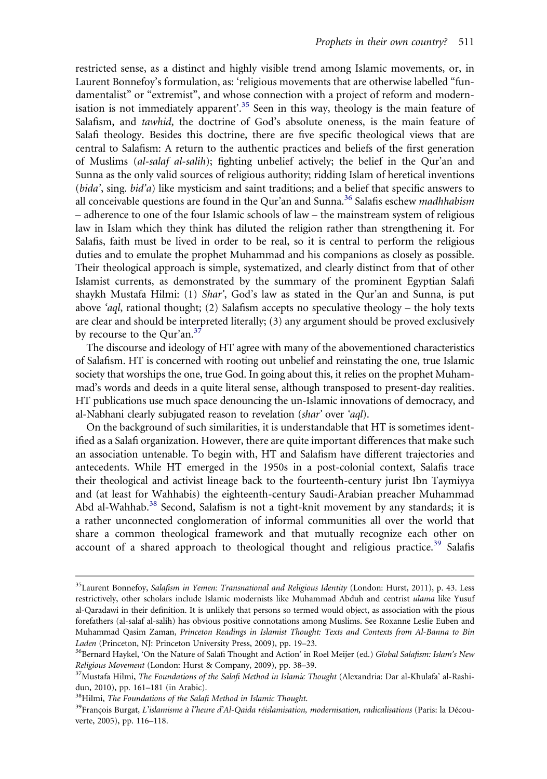restricted sense, as a distinct and highly visible trend among Islamic movements, or, in Laurent Bonnefoy's formulation, as: 'religious movements that are otherwise labelled "fundamentalist" or "extremist", and whose connection with a project of reform and modernisation is not immediately apparent'.<sup>35</sup> Seen in this way, theology is the main feature of Salafism, and tawhid, the doctrine of God's absolute oneness, is the main feature of Salafi theology. Besides this doctrine, there are five specific theological views that are central to Salafism: A return to the authentic practices and beliefs of the first generation of Muslims (al-salaf al-salih); fighting unbelief actively; the belief in the Qur'an and Sunna as the only valid sources of religious authority; ridding Islam of heretical inventions (bida', sing. bid'a) like mysticism and saint traditions; and a belief that specific answers to all conceivable questions are found in the Qur'an and Sunna.<sup>36</sup> Salafis eschew *madhhabism* – adherence to one of the four Islamic schools of law – the mainstream system of religious law in Islam which they think has diluted the religion rather than strengthening it. For Salafis, faith must be lived in order to be real, so it is central to perform the religious duties and to emulate the prophet Muhammad and his companions as closely as possible. Their theological approach is simple, systematized, and clearly distinct from that of other Islamist currents, as demonstrated by the summary of the prominent Egyptian Salafi shaykh Mustafa Hilmi: (1) Shar', God's law as stated in the Qur'an and Sunna, is put above 'aql, rational thought; (2) Salafism accepts no speculative theology – the holy texts are clear and should be interpreted literally; (3) any argument should be proved exclusively by recourse to the Qur'an.<sup>37</sup>

The discourse and ideology of HT agree with many of the abovementioned characteristics of Salafism. HT is concerned with rooting out unbelief and reinstating the one, true Islamic society that worships the one, true God. In going about this, it relies on the prophet Muhammad's words and deeds in a quite literal sense, although transposed to present-day realities. HT publications use much space denouncing the un-Islamic innovations of democracy, and al-Nabhani clearly subjugated reason to revelation (shar' over 'aql).

On the background of such similarities, it is understandable that HT is sometimes identified as a Salafi organization. However, there are quite important differences that make such an association untenable. To begin with, HT and Salafism have different trajectories and antecedents. While HT emerged in the 1950s in a post-colonial context, Salafis trace their theological and activist lineage back to the fourteenth-century jurist Ibn Taymiyya and (at least for Wahhabis) the eighteenth-century Saudi-Arabian preacher Muhammad Abd al-Wahhab.<sup>38</sup> Second, Salafism is not a tight-knit movement by any standards; it is a rather unconnected conglomeration of informal communities all over the world that share a common theological framework and that mutually recognize each other on account of a shared approach to theological thought and religious practice.<sup>39</sup> Salafis

<sup>&</sup>lt;sup>35</sup>Laurent Bonnefoy, Salafism in Yemen: Transnational and Religious Identity (London: Hurst, 2011), p. 43. Less restrictively, other scholars include Islamic modernists like Muhammad Abduh and centrist ulama like Yusuf al-Qaradawi in their definition. It is unlikely that persons so termed would object, as association with the pious forefathers (al-salaf al-salih) has obvious positive connotations among Muslims. See Roxanne Leslie Euben and Muhammad Qasim Zaman, Princeton Readings in Islamist Thought: Texts and Contexts from Al-Banna to Bin Laden (Princeton, NJ: Princeton University Press, 2009), pp. 19–23.<br><sup>36</sup>Bernard Haykel, 'On the Nature of Salafi Thought and Action' in Roel Meijer (ed.) Global Salafism: Islam's New

Religious Movement (London: Hurst & Company, 2009), pp. 38–39.<br><sup>37</sup>Mustafa Hilmi, *The Foundations of the Salafi Method in Islamic Thought (Alexandria: Dar al-Khulafa' al-Rashi-*

dun, 2010), pp. 161–181 (in Arabic).<br><sup>38</sup>Hilmi, *The Foundations of the Salafi Method in Islamic Thought.*<br><sup>39</sup>François Burgat, *L'islamisme à l'heure d'Al-Qaida réislamisation, modernisation, radicalisations (Paris: la Dé* 

verte, 2005), pp. 116–118.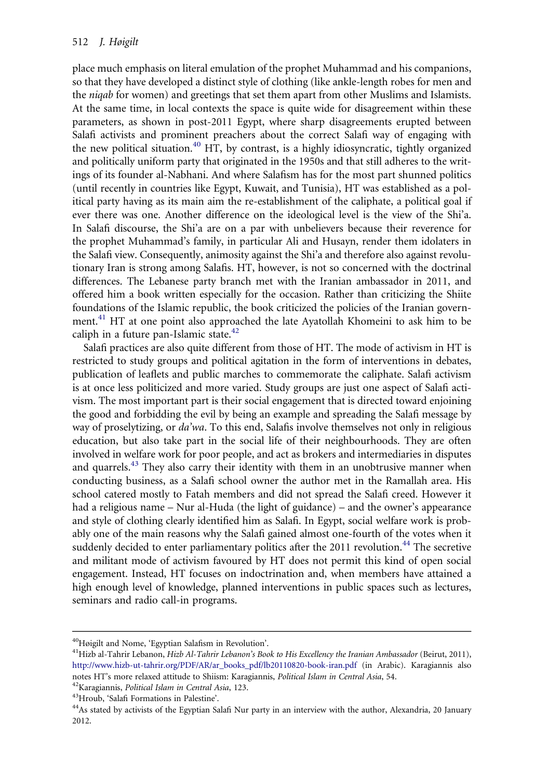place much emphasis on literal emulation of the prophet Muhammad and his companions, so that they have developed a distinct style of clothing (like ankle-length robes for men and the *niqab* for women) and greetings that set them apart from other Muslims and Islamists. At the same time, in local contexts the space is quite wide for disagreement within these parameters, as shown in post-2011 Egypt, where sharp disagreements erupted between Salafi activists and prominent preachers about the correct Salafi way of engaging with the new political situation. $40$  HT, by contrast, is a highly idiosyncratic, tightly organized and politically uniform party that originated in the 1950s and that still adheres to the writings of its founder al-Nabhani. And where Salafism has for the most part shunned politics (until recently in countries like Egypt, Kuwait, and Tunisia), HT was established as a political party having as its main aim the re-establishment of the caliphate, a political goal if ever there was one. Another difference on the ideological level is the view of the Shi'a. In Salafi discourse, the Shi'a are on a par with unbelievers because their reverence for the prophet Muhammad's family, in particular Ali and Husayn, render them idolaters in the Salafi view. Consequently, animosity against the Shi'a and therefore also against revolutionary Iran is strong among Salafis. HT, however, is not so concerned with the doctrinal differences. The Lebanese party branch met with the Iranian ambassador in 2011, and offered him a book written especially for the occasion. Rather than criticizing the Shiite foundations of the Islamic republic, the book criticized the policies of the Iranian government.<sup>41</sup> HT at one point also approached the late Ayatollah Khomeini to ask him to be caliph in a future pan-Islamic state. $42$ 

Salafi practices are also quite different from those of HT. The mode of activism in HT is restricted to study groups and political agitation in the form of interventions in debates, publication of leaflets and public marches to commemorate the caliphate. Salafi activism is at once less politicized and more varied. Study groups are just one aspect of Salafi activism. The most important part is their social engagement that is directed toward enjoining the good and forbidding the evil by being an example and spreading the Salafi message by way of proselytizing, or *da'wa*. To this end, Salafis involve themselves not only in religious education, but also take part in the social life of their neighbourhoods. They are often involved in welfare work for poor people, and act as brokers and intermediaries in disputes and quarrels.<sup>43</sup> They also carry their identity with them in an unobtrusive manner when conducting business, as a Salafi school owner the author met in the Ramallah area. His school catered mostly to Fatah members and did not spread the Salafi creed. However it had a religious name – Nur al-Huda (the light of guidance) – and the owner's appearance and style of clothing clearly identified him as Salafi. In Egypt, social welfare work is probably one of the main reasons why the Salafi gained almost one-fourth of the votes when it suddenly decided to enter parliamentary politics after the 2011 revolution.<sup>44</sup> The secretive and militant mode of activism favoured by HT does not permit this kind of open social engagement. Instead, HT focuses on indoctrination and, when members have attained a high enough level of knowledge, planned interventions in public spaces such as lectures, seminars and radio call-in programs.

<sup>&</sup>lt;sup>40</sup>Høigilt and Nome, 'Egyptian Salafism in Revolution'.<br><sup>41</sup>Hizb al-Tahrir Lebanon, *Hizb Al-Tahrir Lebanon's Book to His Excellency the Iranian Ambassador* (Beirut, 2011), [http://www.hizb-ut-tahrir.org/PDF/AR/ar\\_books\\_pdf/lb20110820-book-iran.pdf](http://www.hizb-ut-tahrir.org/PDF/AR/ar_books_pdf/lb20110820-book-iran.pdf) (in Arabic). Karagiannis also notes HT's more relaxed attitude to Shiism: Karagiannis, *Political Islam in Central Asia*, 54.<br><sup>42</sup> Karagiannis, *Political Islam in Central Asia*, 123.<br><sup>43</sup> Hroub, 'Salafi Formations in Palestine'.<br><sup>44</sup> As stated by acti

<sup>2012.</sup>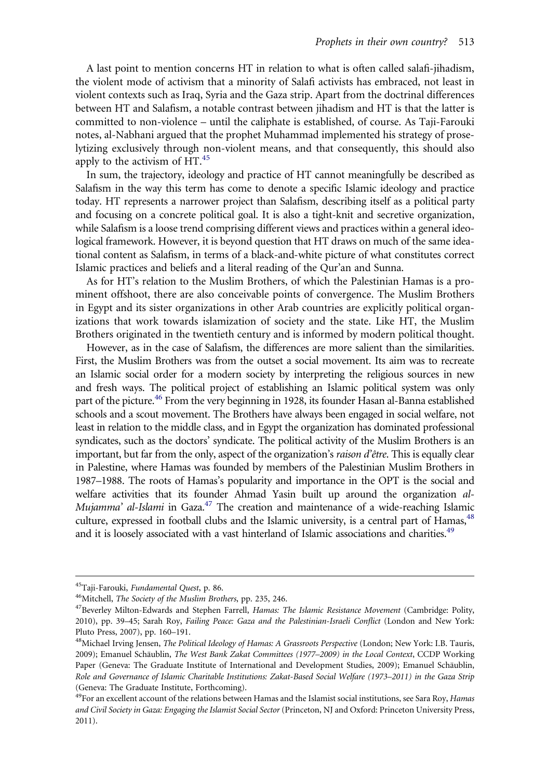A last point to mention concerns HT in relation to what is often called salafi-jihadism, the violent mode of activism that a minority of Salafi activists has embraced, not least in violent contexts such as Iraq, Syria and the Gaza strip. Apart from the doctrinal differences between HT and Salafism, a notable contrast between jihadism and HT is that the latter is committed to non-violence – until the caliphate is established, of course. As Taji-Farouki notes, al-Nabhani argued that the prophet Muhammad implemented his strategy of proselytizing exclusively through non-violent means, and that consequently, this should also apply to the activism of HT.<sup>45</sup>

In sum, the trajectory, ideology and practice of HT cannot meaningfully be described as Salafism in the way this term has come to denote a specific Islamic ideology and practice today. HT represents a narrower project than Salafism, describing itself as a political party and focusing on a concrete political goal. It is also a tight-knit and secretive organization, while Salafism is a loose trend comprising different views and practices within a general ideological framework. However, it is beyond question that HT draws on much of the same ideational content as Salafism, in terms of a black-and-white picture of what constitutes correct Islamic practices and beliefs and a literal reading of the Qur'an and Sunna.

As for HT's relation to the Muslim Brothers, of which the Palestinian Hamas is a prominent offshoot, there are also conceivable points of convergence. The Muslim Brothers in Egypt and its sister organizations in other Arab countries are explicitly political organizations that work towards islamization of society and the state. Like HT, the Muslim Brothers originated in the twentieth century and is informed by modern political thought.

However, as in the case of Salafism, the differences are more salient than the similarities. First, the Muslim Brothers was from the outset a social movement. Its aim was to recreate an Islamic social order for a modern society by interpreting the religious sources in new and fresh ways. The political project of establishing an Islamic political system was only part of the picture.<sup>46</sup> From the very beginning in 1928, its founder Hasan al-Banna established schools and a scout movement. The Brothers have always been engaged in social welfare, not least in relation to the middle class, and in Egypt the organization has dominated professional syndicates, such as the doctors' syndicate. The political activity of the Muslim Brothers is an important, but far from the only, aspect of the organization's *raison d'être*. This is equally clear in Palestine, where Hamas was founded by members of the Palestinian Muslim Brothers in 1987–1988. The roots of Hamas's popularity and importance in the OPT is the social and welfare activities that its founder Ahmad Yasin built up around the organization al-Mujamma' al-Islami in Gaza.<sup>47</sup> The creation and maintenance of a wide-reaching Islamic culture, expressed in football clubs and the Islamic university, is a central part of Hamas, <sup>48</sup> and it is loosely associated with a vast hinterland of Islamic associations and charities.<sup>49</sup>

<sup>&</sup>lt;sup>45</sup>Taji-Farouki, Fundamental Quest, p. 86.<br><sup>46</sup>Mitchell, *The Society of the Muslim Brothers*, pp. 235, 246.<br><sup>47</sup>Beverley Milton-Edwards and Stephen Farrell, *Hamas: The Islamic Resistance Movement* (Cambridge: Polity, 2010), pp. 39–45; Sarah Roy, Failing Peace: Gaza and the Palestinian-Israeli Conflict (London and New York: Pluto Press, 2007), pp. 160–191.<br><sup>48</sup>Michael Irving Jensen, *The Political Ideology of Hamas: A Grassroots Perspective* (London; New York: I.B. Tauris,

<sup>2009);</sup> Emanuel Schäublin, The West Bank Zakat Committees (1977–2009) in the Local Context, CCDP Working Paper (Geneva: The Graduate Institute of International and Development Studies, 2009); Emanuel Schäublin, Role and Governance of Islamic Charitable Institutions: Zakat-Based Social Welfare (1973–2011) in the Gaza Strip (Geneva: The Graduate Institute, Forthcoming).

 $49$ For an excellent account of the relations between Hamas and the Islamist social institutions, see Sara Roy, Hamas and Civil Society in Gaza: Engaging the Islamist Social Sector (Princeton, NJ and Oxford: Princeton University Press, 2011).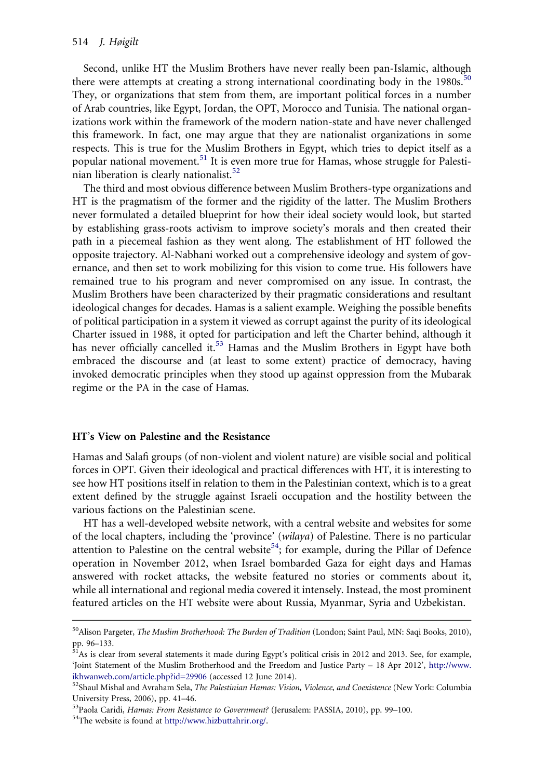Second, unlike HT the Muslim Brothers have never really been pan-Islamic, although there were attempts at creating a strong international coordinating body in the 1980s.<sup>50</sup> They, or organizations that stem from them, are important political forces in a number of Arab countries, like Egypt, Jordan, the OPT, Morocco and Tunisia. The national organizations work within the framework of the modern nation-state and have never challenged this framework. In fact, one may argue that they are nationalist organizations in some respects. This is true for the Muslim Brothers in Egypt, which tries to depict itself as a popular national movement.<sup>51</sup> It is even more true for Hamas, whose struggle for Palestinian liberation is clearly nationalist.<sup>52</sup>

The third and most obvious difference between Muslim Brothers-type organizations and HT is the pragmatism of the former and the rigidity of the latter. The Muslim Brothers never formulated a detailed blueprint for how their ideal society would look, but started by establishing grass-roots activism to improve society's morals and then created their path in a piecemeal fashion as they went along. The establishment of HT followed the opposite trajectory. Al-Nabhani worked out a comprehensive ideology and system of governance, and then set to work mobilizing for this vision to come true. His followers have remained true to his program and never compromised on any issue. In contrast, the Muslim Brothers have been characterized by their pragmatic considerations and resultant ideological changes for decades. Hamas is a salient example. Weighing the possible benefits of political participation in a system it viewed as corrupt against the purity of its ideological Charter issued in 1988, it opted for participation and left the Charter behind, although it has never officially cancelled it.<sup>53</sup> Hamas and the Muslim Brothers in Egypt have both embraced the discourse and (at least to some extent) practice of democracy, having invoked democratic principles when they stood up against oppression from the Mubarak regime or the PA in the case of Hamas.

#### HT's View on Palestine and the Resistance

Hamas and Salafi groups (of non-violent and violent nature) are visible social and political forces in OPT. Given their ideological and practical differences with HT, it is interesting to see how HT positions itself in relation to them in the Palestinian context, which is to a great extent defined by the struggle against Israeli occupation and the hostility between the various factions on the Palestinian scene.

HT has a well-developed website network, with a central website and websites for some of the local chapters, including the 'province' (wilaya) of Palestine. There is no particular attention to Palestine on the central website<sup>54</sup>; for example, during the Pillar of Defence operation in November 2012, when Israel bombarded Gaza for eight days and Hamas answered with rocket attacks, the website featured no stories or comments about it, while all international and regional media covered it intensely. Instead, the most prominent featured articles on the HT website were about Russia, Myanmar, Syria and Uzbekistan.

<sup>&</sup>lt;sup>50</sup>Alison Pargeter, The Muslim Brotherhood: The Burden of Tradition (London; Saint Paul, MN: Saqi Books, 2010), pp. 96–133.<br><sup>51</sup>As is clear from several statements it made during Egypt's political crisis in 2012 and 2013. See, for example,

<sup>&#</sup>x27;Joint Statement of the Muslim Brotherhood and the Freedom and Justice Party – 18 Apr 2012', [http://www.](http://www.ikhwanweb.com/article.php?id=29906) [ikhwanweb.com/article.php?id=29906](http://www.ikhwanweb.com/article.php?id=29906) (accessed 12 June 2014).<br><sup>52</sup>Shaul Mishal and Avraham Sela, *The Palestinian Hamas: Vision, Violence, and Coexistence* (New York: Columbia

University Press, 2006), pp. 41–46.<br><sup>53</sup>Paola Caridi, *Hamas: From Resistance to Government?* (Jerusalem: PASSIA, 2010), pp. 99–100. 54The website is found at [http://www.hizbuttahrir.org/.](http://www.hizbuttahrir.org/)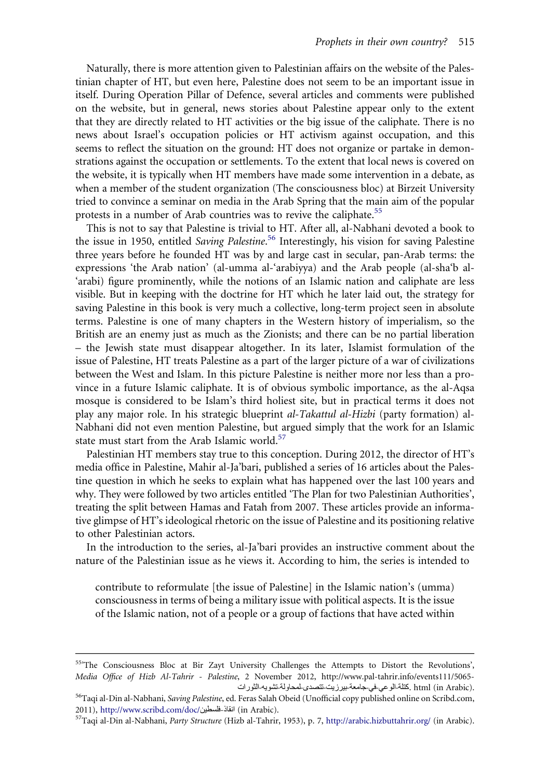Naturally, there is more attention given to Palestinian affairs on the website of the Palestinian chapter of HT, but even here, Palestine does not seem to be an important issue in itself. During Operation Pillar of Defence, several articles and comments were published on the website, but in general, news stories about Palestine appear only to the extent that they are directly related to HT activities or the big issue of the caliphate. There is no news about Israel's occupation policies or HT activism against occupation, and this seems to reflect the situation on the ground: HT does not organize or partake in demonstrations against the occupation or settlements. To the extent that local news is covered on the website, it is typically when HT members have made some intervention in a debate, as when a member of the student organization (The consciousness bloc) at Birzeit University tried to convince a seminar on media in the Arab Spring that the main aim of the popular protests in a number of Arab countries was to revive the caliphate.<sup>55</sup>

This is not to say that Palestine is trivial to HT. After all, al-Nabhani devoted a book to the issue in 1950, entitled Saving Palestine.<sup>56</sup> Interestingly, his vision for saving Palestine three years before he founded HT was by and large cast in secular, pan-Arab terms: the expressions 'the Arab nation' (al-umma al-'arabiyya) and the Arab people (al-sha'b al- 'arabi) figure prominently, while the notions of an Islamic nation and caliphate are less visible. But in keeping with the doctrine for HT which he later laid out, the strategy for saving Palestine in this book is very much a collective, long-term project seen in absolute terms. Palestine is one of many chapters in the Western history of imperialism, so the British are an enemy just as much as the Zionists; and there can be no partial liberation – the Jewish state must disappear altogether. In its later, Islamist formulation of the issue of Palestine, HT treats Palestine as a part of the larger picture of a war of civilizations between the West and Islam. In this picture Palestine is neither more nor less than a province in a future Islamic caliphate. It is of obvious symbolic importance, as the al-Aqsa mosque is considered to be Islam's third holiest site, but in practical terms it does not play any major role. In his strategic blueprint al-Takattul al-Hizbi (party formation) al-Nabhani did not even mention Palestine, but argued simply that the work for an Islamic state must start from the Arab Islamic world.<sup>57</sup>

Palestinian HT members stay true to this conception. During 2012, the director of HT's media office in Palestine, Mahir al-Ja'bari, published a series of 16 articles about the Palestine question in which he seeks to explain what has happened over the last 100 years and why. They were followed by two articles entitled 'The Plan for two Palestinian Authorities', treating the split between Hamas and Fatah from 2007. These articles provide an informative glimpse of HT's ideological rhetoric on the issue of Palestine and its positioning relative to other Palestinian actors.

In the introduction to the series, al-Ja'bari provides an instructive comment about the nature of the Palestinian issue as he views it. According to him, the series is intended to

contribute to reformulate [the issue of Palestine] in the Islamic nation's (umma) consciousness in terms of being a military issue with political aspects. It is the issue of the Islamic nation, not of a people or a group of factions that have acted within

<sup>55&</sup>lt;sup>y</sup>The Consciousness Bloc at Bir Zayt University Challenges the Attempts to Distort the Revolutions', Media Office of Hizb Al-Tahrir - Palestine, 2 November 2012, http://www.pal-tahrir.info/events111/5065- تالة الوعي في جامعة بيزريت تتصدى لمحاولة تشويه الثورات .<br><sup>56</sup>Taqi al-Din al-Nabhani, *Saving Palestine*, ed. Feras Salah Obeid (Unofficial copy published online on Scribd.com,

<sup>2011),</sup> <http://www.scribd.com/doc/> انقاذ-فلسطين/ in Arabic). 57Taqi al-Din al-Nabhani, *Party Structure* (Hizb al-Tahrir, 1953), p. 7, <http://arabic.hizbuttahrir.org/> (in Arabic).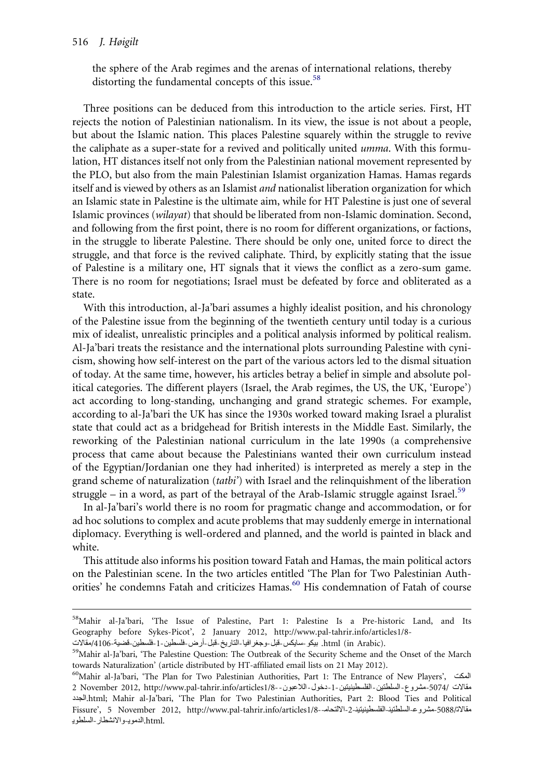#### 516 J. Høigilt

the sphere of the Arab regimes and the arenas of international relations, thereby distorting the fundamental concepts of this issue.<sup>58</sup>

Three positions can be deduced from this introduction to the article series. First, HT rejects the notion of Palestinian nationalism. In its view, the issue is not about a people, but about the Islamic nation. This places Palestine squarely within the struggle to revive the caliphate as a super-state for a revived and politically united *umma*. With this formulation, HT distances itself not only from the Palestinian national movement represented by the PLO, but also from the main Palestinian Islamist organization Hamas. Hamas regards itself and is viewed by others as an Islamist *and* nationalist liberation organization for which an Islamic state in Palestine is the ultimate aim, while for HT Palestine is just one of several Islamic provinces (wilayat) that should be liberated from non-Islamic domination. Second, and following from the first point, there is no room for different organizations, or factions, in the struggle to liberate Palestine. There should be only one, united force to direct the struggle, and that force is the revived caliphate. Third, by explicitly stating that the issue of Palestine is a military one, HT signals that it views the conflict as a zero-sum game. There is no room for negotiations; Israel must be defeated by force and obliterated as a state.

With this introduction, al-Ja'bari assumes a highly idealist position, and his chronology of the Palestine issue from the beginning of the twentieth century until today is a curious mix of idealist, unrealistic principles and a political analysis informed by political realism. Al-Ja'bari treats the resistance and the international plots surrounding Palestine with cynicism, showing how self-interest on the part of the various actors led to the dismal situation of today. At the same time, however, his articles betray a belief in simple and absolute political categories. The different players (Israel, the Arab regimes, the US, the UK, 'Europe') act according to long-standing, unchanging and grand strategic schemes. For example, according to al-Ja'bari the UK has since the 1930s worked toward making Israel a pluralist state that could act as a bridgehead for British interests in the Middle East. Similarly, the reworking of the Palestinian national curriculum in the late 1990s (a comprehensive process that came about because the Palestinians wanted their own curriculum instead of the Egyptian/Jordanian one they had inherited) is interpreted as merely a step in the grand scheme of naturalization  $(tatbi')$  with Israel and the relinquishment of the liberation struggle – in a word, as part of the betrayal of the Arab-Islamic struggle against Israel.<sup>59</sup>

In al-Ja'bari's world there is no room for pragmatic change and accommodation, or for ad hoc solutions to complex and acute problems that may suddenly emerge in international diplomacy. Everything is well-ordered and planned, and the world is painted in black and white.

This attitude also informs his position toward Fatah and Hamas, the main political actors on the Palestinian scene. In the two articles entitled 'The Plan for Two Palestinian Authorities' he condemns Fatah and criticizes Hamas.<sup>60</sup> His condemnation of Fatah of course

<sup>58</sup>Mahir al-Ja'bari, 'The Issue of Palestine, Part 1: Palestine Is a Pre-historic Land, and Its Geography before Sykes-Picot', 2 January 2012, http://www.pal-tahrir.info/articles1/8-

تلالات -1- نظسطون -1- نظسطون -1- نيطو -1- نيطو -1- نيطو -1- نيطو -1- نيطو -1- نياسطون -1- نظسطون -1- نفسطون -<br><sup>59</sup>Mahir al-Ja'bari, 'The Palestine Question: The Outbreak of the Security Scheme and the Onset of the March towards Naturalization' (article distributed by HT-affiliated email lists on 21 May 2012).<br><sup>60</sup>Mahir al-Ja'bari, 'The Plan for Two Palestinian Authorities, Part 1: The Entrance of New Players', المكت

مقالات /5074-مشروع-السلطنين -1-دخول-اللاحون--8/lovember 2012, http://www.pal-tahrir.info/articles1/8 ددجلا .html; Mahir al-Ja'bari, 'The Plan for Two Palestinian Authorities, Part 2: Blood Ties and Political مقالات/5088-مشروعـ السلطنينـالفلسطينينينـــ 2-الالتحامـ-18/Eissure', 5 November 2012, http://www.pal-tahrir.info/articles1 .html الدمويـوالانشطار -السلطويـ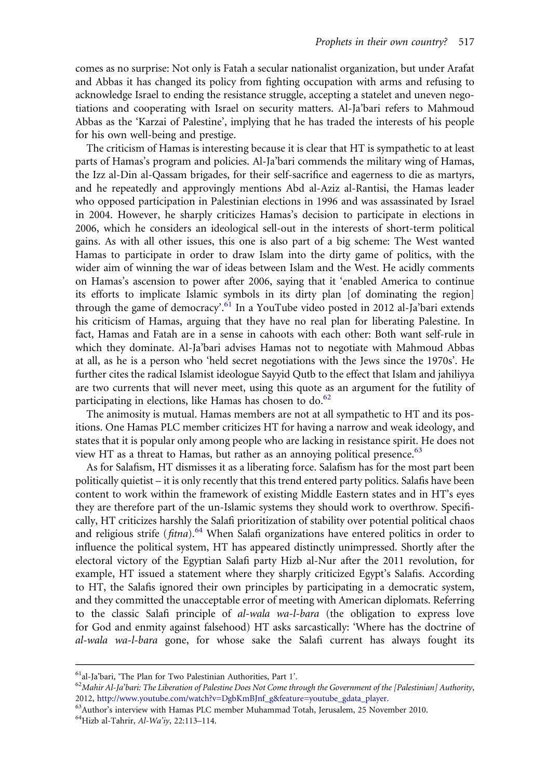comes as no surprise: Not only is Fatah a secular nationalist organization, but under Arafat and Abbas it has changed its policy from fighting occupation with arms and refusing to acknowledge Israel to ending the resistance struggle, accepting a statelet and uneven negotiations and cooperating with Israel on security matters. Al-Ja'bari refers to Mahmoud Abbas as the 'Karzai of Palestine', implying that he has traded the interests of his people for his own well-being and prestige.

The criticism of Hamas is interesting because it is clear that HT is sympathetic to at least parts of Hamas's program and policies. Al-Ja'bari commends the military wing of Hamas, the Izz al-Din al-Qassam brigades, for their self-sacrifice and eagerness to die as martyrs, and he repeatedly and approvingly mentions Abd al-Aziz al-Rantisi, the Hamas leader who opposed participation in Palestinian elections in 1996 and was assassinated by Israel in 2004. However, he sharply criticizes Hamas's decision to participate in elections in 2006, which he considers an ideological sell-out in the interests of short-term political gains. As with all other issues, this one is also part of a big scheme: The West wanted Hamas to participate in order to draw Islam into the dirty game of politics, with the wider aim of winning the war of ideas between Islam and the West. He acidly comments on Hamas's ascension to power after 2006, saying that it 'enabled America to continue its efforts to implicate Islamic symbols in its dirty plan [of dominating the region] through the game of democracy'.<sup>61</sup> In a YouTube video posted in 2012 al-Ja'bari extends his criticism of Hamas, arguing that they have no real plan for liberating Palestine. In fact, Hamas and Fatah are in a sense in cahoots with each other: Both want self-rule in which they dominate. Al-Ja'bari advises Hamas not to negotiate with Mahmoud Abbas at all, as he is a person who 'held secret negotiations with the Jews since the 1970s'. He further cites the radical Islamist ideologue Sayyid Qutb to the effect that Islam and jahiliyya are two currents that will never meet, using this quote as an argument for the futility of participating in elections, like Hamas has chosen to do.<sup>62</sup>

The animosity is mutual. Hamas members are not at all sympathetic to HT and its positions. One Hamas PLC member criticizes HT for having a narrow and weak ideology, and states that it is popular only among people who are lacking in resistance spirit. He does not view HT as a threat to Hamas, but rather as an annoying political presence.<sup>63</sup>

As for Salafism, HT dismisses it as a liberating force. Salafism has for the most part been politically quietist – it is only recently that this trend entered party politics. Salafis have been content to work within the framework of existing Middle Eastern states and in HT's eyes they are therefore part of the un-Islamic systems they should work to overthrow. Specifically, HT criticizes harshly the Salafi prioritization of stability over potential political chaos and religious strife ( $f_{ttna}$ ).<sup>64</sup> When Salafi organizations have entered politics in order to influence the political system, HT has appeared distinctly unimpressed. Shortly after the electoral victory of the Egyptian Salafi party Hizb al-Nur after the 2011 revolution, for example, HT issued a statement where they sharply criticized Egypt's Salafis. According to HT, the Salafis ignored their own principles by participating in a democratic system, and they committed the unacceptable error of meeting with American diplomats. Referring to the classic Salafi principle of al-wala wa-l-bara (the obligation to express love for God and enmity against falsehood) HT asks sarcastically: 'Where has the doctrine of al-wala wa-l-bara gone, for whose sake the Salafi current has always fought its

<sup>&</sup>lt;sup>61</sup>al-Ja'bari, 'The Plan for Two Palestinian Authorities, Part 1'.<br><sup>62</sup>Mahir Al-Ja'bari: The Liberation of Palestine Does Not Come through the Government of the [Palestinian] Authority,

<sup>2012,</sup> [http://www.youtube.com/watch?v=DgbKmBJnf\\_g&feature=youtube\\_gdata\\_player.](http://www.youtube.com/watch?v=DgbKmBJnf_g&feature=youtube_gdata_player)<br><sup>63</sup>Author's interview with Hamas PLC member Muhammad Totah, Jerusalem, 25 November 2010.<br><sup>64</sup>Hizb al-Tahrir, *Al-Wa'iy*, 22:113–114.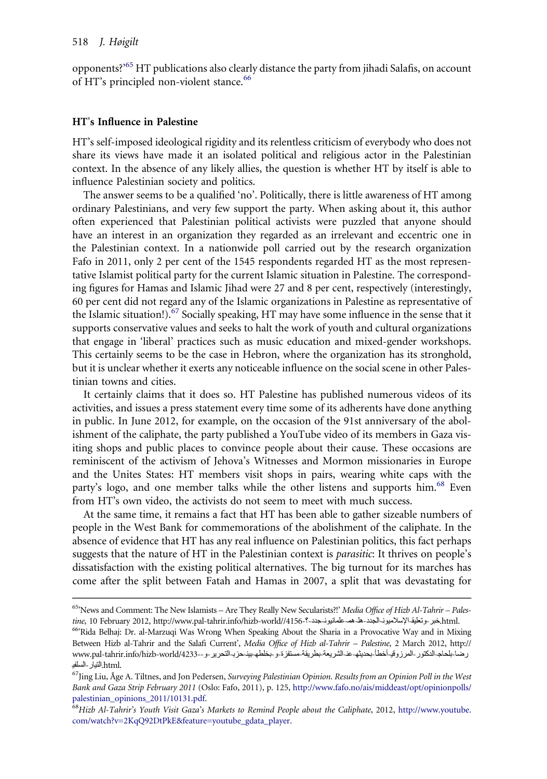opponents?'<sup>65</sup> HT publications also clearly distance the party from jihadi Salafis, on account of HT's principled non-violent stance.<sup>66</sup>

#### HT's Influence in Palestine

HT's self-imposed ideological rigidity and its relentless criticism of everybody who does not share its views have made it an isolated political and religious actor in the Palestinian context. In the absence of any likely allies, the question is whether HT by itself is able to influence Palestinian society and politics.

The answer seems to be a qualified 'no'. Politically, there is little awareness of HT among ordinary Palestinians, and very few support the party. When asking about it, this author often experienced that Palestinian political activists were puzzled that anyone should have an interest in an organization they regarded as an irrelevant and eccentric one in the Palestinian context. In a nationwide poll carried out by the research organization Fafo in 2011, only 2 per cent of the 1545 respondents regarded HT as the most representative Islamist political party for the current Islamic situation in Palestine. The corresponding figures for Hamas and Islamic Jihad were 27 and 8 per cent, respectively (interestingly, 60 per cent did not regard any of the Islamic organizations in Palestine as representative of the Islamic situation!).<sup>67</sup> Socially speaking, HT may have some influence in the sense that it supports conservative values and seeks to halt the work of youth and cultural organizations that engage in 'liberal' practices such as music education and mixed-gender workshops. This certainly seems to be the case in Hebron, where the organization has its stronghold, but it is unclear whether it exerts any noticeable influence on the social scene in other Palestinian towns and cities.

It certainly claims that it does so. HT Palestine has published numerous videos of its activities, and issues a press statement every time some of its adherents have done anything in public. In June 2012, for example, on the occasion of the 91st anniversary of the abolishment of the caliphate, the party published a YouTube video of its members in Gaza visiting shops and public places to convince people about their cause. These occasions are reminiscent of the activism of Jehova's Witnesses and Mormon missionaries in Europe and the Unites States: HT members visit shops in pairs, wearing white caps with the party's logo, and one member talks while the other listens and supports him.<sup>68</sup> Even from HT's own video, the activists do not seem to meet with much success.

At the same time, it remains a fact that HT has been able to gather sizeable numbers of people in the West Bank for commemorations of the abolishment of the caliphate. In the absence of evidence that HT has any real influence on Palestinian politics, this fact perhaps suggests that the nature of HT in the Palestinian context is *parasitic*: It thrives on people's dissatisfaction with the existing political alternatives. The big turnout for its marches has come after the split between Fatah and Hamas in 2007, a split that was devastating for

<sup>&</sup>lt;sup>65</sup>'News and Comment: The New Islamists - Are They Really New Secularists?!' Media Office of Hizb Al-Tahrir - Palestine, 10 February 2012, http://www.pal-tahrir.info/hizb-world//4156-?-خبر -وتطليقـالإسلاميونــالجند-هلــهمــ علملنيونــجند-21.<br><sup>66</sup>Rida Belhaj: Dr. al-Marzuqi Was Wrong When Speaking About the Sharia in a Provocative Way

Between Hizb al-Tahrir and the Salafi Current', Media Office of Hizb al-Tahrir - Palestine, 2 March 2012, http:// رضا بلحاج النكتور -المرز وقيـ أخطأ -بحديثهـ عذالشر يعة بطريقة مستفز ة- و-نخلطه بينـ حزب التحرير -و -- www.pal-tahrir.info/hizb-world/4233

ياللتيلر -السلغيل.html.<br><sup>67</sup>Jing Liu, Åge A. Tiltnes, and Jon Pedersen, S*urveying Palestinian Opinion. Results from an Opinion Poll in the West* Bank and Gaza Strip February 2011 (Oslo: Fafo, 2011), p. 125, [http://www.fafo.no/ais/middeast/opt/opinionpolls/](http://www.fafo.no/ais/middeast/opt/opinionpolls/palestinian_opinions_2011/10131.pdf)

[palestinian\\_opinions\\_2011/10131.pdf.](http://www.fafo.no/ais/middeast/opt/opinionpolls/palestinian_opinions_2011/10131.pdf)<br><sup>68</sup>Hizb Al-Tahrir's Youth Visit Gaza's Markets to Remind People about the Caliphate, 2012, [http://www.youtube.](http://www.youtube.com/watch?v=2KqQ92DtPkE&feature=youtube_gdata_player) [com/watch?v=2KqQ92DtPkE&feature=youtube\\_gdata\\_player.](http://www.youtube.com/watch?v=2KqQ92DtPkE&feature=youtube_gdata_player)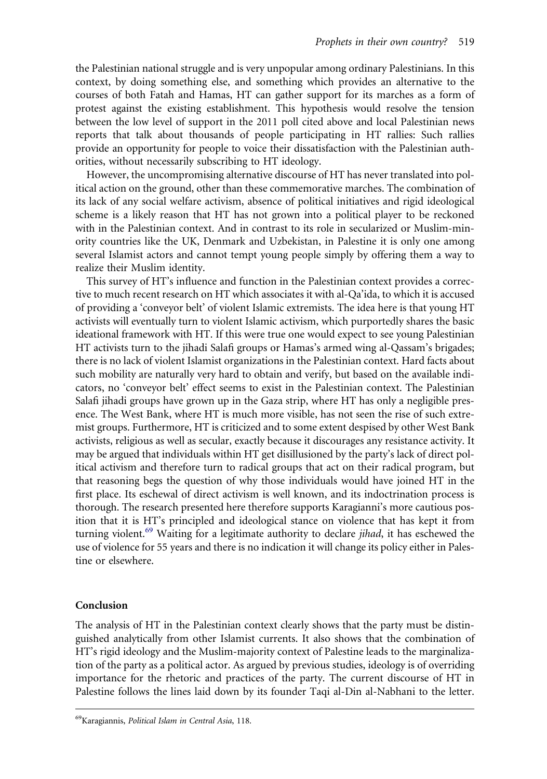the Palestinian national struggle and is very unpopular among ordinary Palestinians. In this context, by doing something else, and something which provides an alternative to the courses of both Fatah and Hamas, HT can gather support for its marches as a form of protest against the existing establishment. This hypothesis would resolve the tension between the low level of support in the 2011 poll cited above and local Palestinian news reports that talk about thousands of people participating in HT rallies: Such rallies provide an opportunity for people to voice their dissatisfaction with the Palestinian authorities, without necessarily subscribing to HT ideology.

However, the uncompromising alternative discourse of HT has never translated into political action on the ground, other than these commemorative marches. The combination of its lack of any social welfare activism, absence of political initiatives and rigid ideological scheme is a likely reason that HT has not grown into a political player to be reckoned with in the Palestinian context. And in contrast to its role in secularized or Muslim-minority countries like the UK, Denmark and Uzbekistan, in Palestine it is only one among several Islamist actors and cannot tempt young people simply by offering them a way to realize their Muslim identity.

This survey of HT's influence and function in the Palestinian context provides a corrective to much recent research on HT which associates it with al-Qa'ida, to which it is accused of providing a 'conveyor belt' of violent Islamic extremists. The idea here is that young HT activists will eventually turn to violent Islamic activism, which purportedly shares the basic ideational framework with HT. If this were true one would expect to see young Palestinian HT activists turn to the jihadi Salafi groups or Hamas's armed wing al-Qassam's brigades; there is no lack of violent Islamist organizations in the Palestinian context. Hard facts about such mobility are naturally very hard to obtain and verify, but based on the available indicators, no 'conveyor belt' effect seems to exist in the Palestinian context. The Palestinian Salafi jihadi groups have grown up in the Gaza strip, where HT has only a negligible presence. The West Bank, where HT is much more visible, has not seen the rise of such extremist groups. Furthermore, HT is criticized and to some extent despised by other West Bank activists, religious as well as secular, exactly because it discourages any resistance activity. It may be argued that individuals within HT get disillusioned by the party's lack of direct political activism and therefore turn to radical groups that act on their radical program, but that reasoning begs the question of why those individuals would have joined HT in the first place. Its eschewal of direct activism is well known, and its indoctrination process is thorough. The research presented here therefore supports Karagianni's more cautious position that it is HT's principled and ideological stance on violence that has kept it from turning violent.<sup>69</sup> Waiting for a legitimate authority to declare *jihad*, it has eschewed the use of violence for 55 years and there is no indication it will change its policy either in Palestine or elsewhere.

#### Conclusion

The analysis of HT in the Palestinian context clearly shows that the party must be distinguished analytically from other Islamist currents. It also shows that the combination of HT's rigid ideology and the Muslim-majority context of Palestine leads to the marginalization of the party as a political actor. As argued by previous studies, ideology is of overriding importance for the rhetoric and practices of the party. The current discourse of HT in Palestine follows the lines laid down by its founder Taqi al-Din al-Nabhani to the letter.